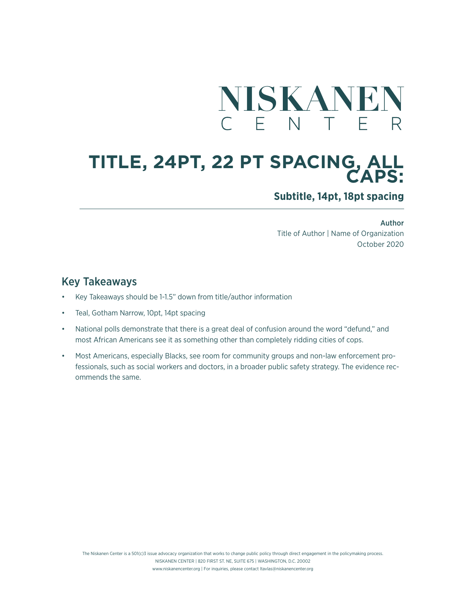

# **TITLE, 24PT, 22 PT SPACING, ALL CAPS:**

**Subtitle, 14pt, 18pt spacing**

Author Title of Author | Name of Organization October 2020

## Key Takeaways

- Key Takeaways should be 1-1.5" down from title/author information
- Teal, Gotham Narrow, 10pt, 14pt spacing
- National polls demonstrate that there is a great deal of confusion around the word "defund," and most African Americans see it as something other than completely ridding cities of cops.
- Most Americans, especially Blacks, see room for community groups and non-law enforcement professionals, such as social workers and doctors, in a broader public safety strategy. The evidence recommends the same.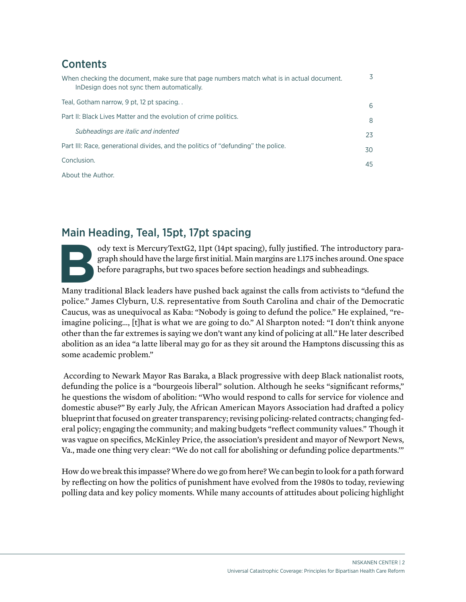## **Contents**

| When checking the document, make sure that page numbers match what is in actual document.<br>In Design does not sync them automatically. | 3  |
|------------------------------------------------------------------------------------------------------------------------------------------|----|
| Teal, Gotham narrow, 9 pt, 12 pt spacing                                                                                                 | 6  |
| Part II: Black Lives Matter and the evolution of crime politics.                                                                         | 8  |
| Subheadings are italic and indented                                                                                                      | 23 |
| Part III: Race, generational divides, and the politics of "defunding" the police.                                                        | 30 |
| Conclusion.                                                                                                                              | 45 |
| About the Author.                                                                                                                        |    |

## Main Heading, Teal, 15pt, 17pt spacing

ody text is MercuryTextG2, 11pt (14pt spacing), fully justified. The introductory paragraph should have the large first initial. Main margins are 1.175 inches around. One space before paragraphs, but two spaces before sect graph should have the large first initial. Main margins are 1.175 inches around. One space before paragraphs, but two spaces before section headings and subheadings.

Many traditional Black leaders have pushed back against the calls from activists to "defund the police." James Clyburn, U.S. representative from South Carolina and chair of the Democratic Caucus, was as unequivocal as Kaba: "Nobody is going to defund the police." He explained, "reimagine policing…, [t]hat is what we are going to do." Al Sharpton noted: "I don't think anyone other than the far extremes is saying we don't want any kind of policing at all."He later described abolition as an idea "a latte liberal may go for as they sit around the Hamptons discussing this as some academic problem."

According to Newark Mayor Ras Baraka, a Black progressive with deep Black nationalist roots, defunding the police is a "bourgeois liberal" solution. Although he seeks "significant reforms," he questions the wisdom of abolition: "Who would respond to calls for service for violence and domestic abuse?"By early July, the African American Mayors Association had drafted a policy blueprint that focused on greater transparency; revising policing-related contracts; changing federal policy; engaging the community; and making budgets "reflect community values." Though it was vague on specifics, McKinley Price, the association's president and mayor of Newport News, Va., made one thing very clear: "We do not call for abolishing or defunding police departments.'"

How do we break this impasse? Where do we go from here? We can begin to look for a path forward by reflecting on how the politics of punishment have evolved from the 1980s to today, reviewing polling data and key policy moments. While many accounts of attitudes about policing highlight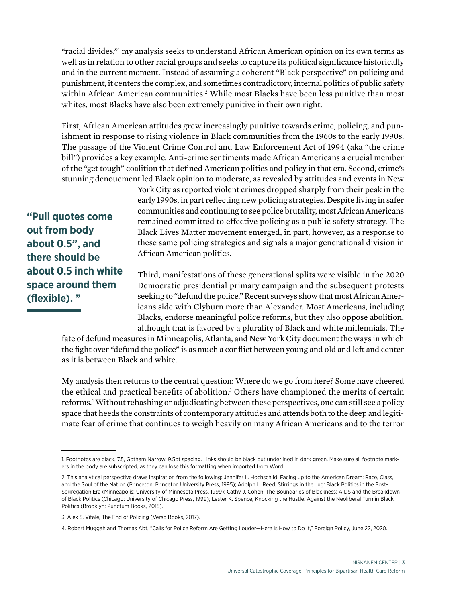"racial divides,"1 my analysis seeks to understand African American opinion on its own terms as well as in relation to other racial groups and seeks to capture its political significance historically and in the current moment. Instead of assuming a coherent "Black perspective" on policing and punishment, it centers the complex, and sometimes contradictory, internal politics of public safety within African American communities.<sup>2</sup> While most Blacks have been less punitive than most whites, most Blacks have also been extremely punitive in their own right.

First, African American attitudes grew increasingly punitive towards crime, policing, and punishment in response to rising violence in Black communities from the 1960s to the early 1990s. The passage of the Violent Crime Control and Law Enforcement Act of 1994 (aka "the crime bill") provides a key example. Anti-crime sentiments made African Americans a crucial member of the "get tough" coalition that defined American politics and policy in that era. Second, crime's stunning denouement led Black opinion to moderate, as revealed by attitudes and events in New

York City as reported violent crimes dropped sharply from their peak in the early 1990s, in part reflecting new policing strategies. Despite living in safer communities and continuing to see police brutality, most African Americans remained committed to effective policing as a public safety strategy. The Black Lives Matter movement emerged, in part, however, as a response to these same policing strategies and signals a major generational division in African American politics.

**"Pull quotes come out from body about 0.5", and there should be about 0.5 inch white space around them (flexible). "**

Third, manifestations of these generational splits were visible in the 2020 Democratic presidential primary campaign and the subsequent protests seeking to "defund the police." Recent surveys show that most African Americans side with Clyburn more than Alexander. Most Americans, including Blacks, endorse meaningful police reforms, but they also oppose abolition, although that is favored by a plurality of Black and white millennials. The

fate of defund measures in Minneapolis, Atlanta, and New York City document the ways in which the fight over "defund the police" is as much a conflict between young and old and left and center as it is between Black and white.

My analysis then returns to the central question: Where do we go from here? Some have cheered the ethical and practical benefits of abolition.<sup>3</sup> Others have championed the merits of certain reforms.<sup>4</sup> Without rehashing or adjudicating between these perspectives, one can still see a policy space that heeds the constraints of contemporary attitudes and attends both to the deep and legitimate fear of crime that continues to weigh heavily on many African Americans and to the terror

<sup>1.</sup> Footnotes are black, 7.5, Gotham Narrow, 9.5pt spacing. Links should be black but underlined in dark green. Make sure all footnote markers in the body are subscripted, as they can lose this formatting when imported from Word.

<sup>2.</sup> This analytical perspective draws inspiration from the following: Jennifer L. Hochschild, Facing up to the American Dream: Race, Class, and the Soul of the Nation (Princeton: Princeton University Press, 1995); Adolph L. Reed, Stirrings in the Jug: Black Politics in the Post-Segregation Era (Minneapolis: University of Minnesota Press, 1999); Cathy J. Cohen, The Boundaries of Blackness: AIDS and the Breakdown of Black Politics (Chicago: University of Chicago Press, 1999); Lester K. Spence, Knocking the Hustle: Against the Neoliberal Turn in Black Politics (Brooklyn: Punctum Books, 2015).

<sup>3.</sup> Alex S. Vitale, The End of Policing (Verso Books, 2017).

<sup>4.</sup> Robert Muggah and Thomas Abt, "Calls for Police Reform Are Getting Louder—Here Is How to Do It," Foreign Policy, June 22, 2020.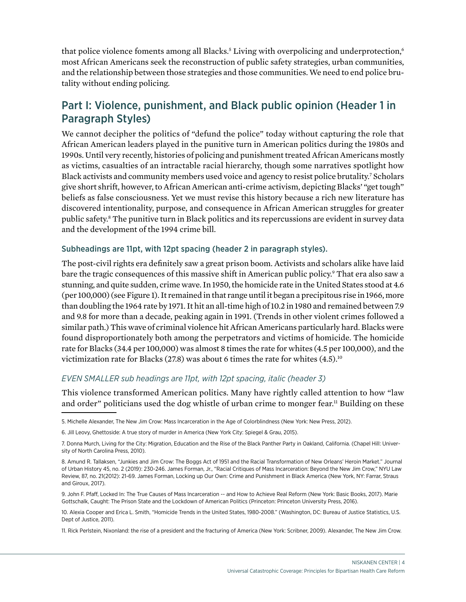that police violence foments among all Blacks.<sup>5</sup> Living with overpolicing and underprotection,6 most African Americans seek the reconstruction of public safety strategies, urban communities, and the relationship between those strategies and those communities. We need to end police brutality without ending policing.

## Part I: Violence, punishment, and Black public opinion (Header 1 in Paragraph Styles)

We cannot decipher the politics of "defund the police" today without capturing the role that African American leaders played in the punitive turn in American politics during the 1980s and 1990s. Until very recently, histories of policing and punishment treated African Americans mostly as victims, casualties of an intractable racial hierarchy, though some narratives spotlight how Black activists and community members used voice and agency to resist police brutality.<sup>7</sup> Scholars give short shrift, however, to African American anti-crime activism, depicting Blacks' "get tough" beliefs as false consciousness. Yet we must revise this history because a rich new literature has discovered intentionality, purpose, and consequence in African American struggles for greater public safety.8 The punitive turn in Black politics and its repercussions are evident in survey data and the development of the 1994 crime bill.

### Subheadings are 11pt, with 12pt spacing (header 2 in paragraph styles).

The post-civil rights era definitely saw a great prison boom. Activists and scholars alike have laid bare the tragic consequences of this massive shift in American public policy.<sup>9</sup> That era also saw a stunning, and quite sudden, crime wave. In 1950, the homicide rate in the United States stood at 4.6 (per 100,000) (see Figure 1). It remained in that range until it began a precipitous rise in 1966, more than doubling the 1964 rate by 1971. It hit an all-time high of 10.2 in 1980 and remained between 7.9 and 9.8 for more than a decade, peaking again in 1991. (Trends in other violent crimes followed a similar path.) This wave of criminal violence hit African Americans particularly hard. Blacks were found disproportionately both among the perpetrators and victims of homicide. The homicide rate for Blacks (34.4 per 100,000) was almost 8 times the rate for whites (4.5 per 100,000), and the victimization rate for Blacks (27.8) was about 6 times the rate for whites  $(4.5)^{10}$ 

### *EVEN SMALLER sub headings are 11pt, with 12pt spacing, italic (header 3)*

This violence transformed American politics. Many have rightly called attention to how "law and order" politicians used the dog whistle of urban crime to monger fear.<sup>11</sup> Building on these

<sup>5.</sup> Michelle Alexander, The New Jim Crow: Mass Incarceration in the Age of Colorblindness (New York: New Press, 2012).

<sup>6.</sup> Jill Leovy, Ghettoside: A true story of murder in America (New York City: Spiegel & Grau, 2015).

<sup>7.</sup> Donna Murch, Living for the City: Migration, Education and the Rise of the Black Panther Party in Oakland, California. (Chapel Hill: University of North Carolina Press, 2010).

<sup>8.</sup> Amund R. Tallaksen, "Junkies and Jim Crow: The Boggs Act of 1951 and the Racial Transformation of New Orleans' Heroin Market." Journal of Urban History 45, no. 2 (2019): 230-246. James Forman, Jr., "Racial Critiques of Mass Incarceration: Beyond the New Jim Crow," NYU Law Review, 87, no. 21(2012): 21-69. James Forman, Locking up Our Own: Crime and Punishment in Black America (New York, NY: Farrar, Straus and Giroux, 2017).

<sup>9.</sup> John F. Pfaff, Locked In: The True Causes of Mass Incarceration -- and How to Achieve Real Reform (New York: Basic Books, 2017). Marie Gottschalk, Caught: The Prison State and the Lockdown of American Politics (Princeton: Princeton University Press, 2016).

<sup>10.</sup> Alexia Cooper and Erica L. Smith, "Homicide Trends in the United States, 1980-2008." (Washington, DC: Bureau of Justice Statistics, U.S. Dept of Justice, 2011).

<sup>11.</sup> Rick Perlstein, Nixonland: the rise of a president and the fracturing of America (New York: Scribner, 2009). Alexander, The New Jim Crow.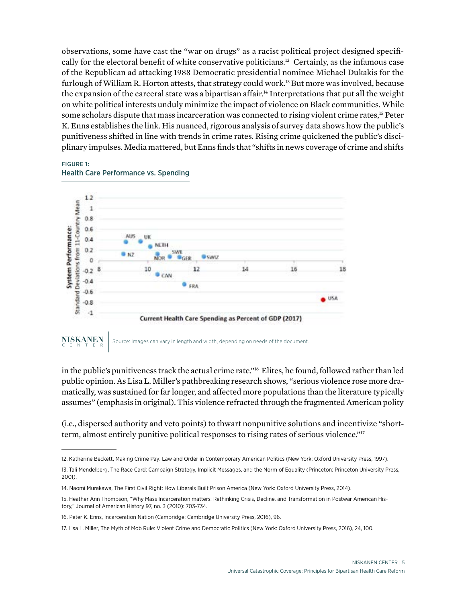observations, some have cast the "war on drugs" as a racist political project designed specifically for the electoral benefit of white conservative politicians.<sup>12</sup> Certainly, as the infamous case of the Republican ad attacking 1988 Democratic presidential nominee Michael Dukakis for the furlough of William R. Horton attests, that strategy could work.<sup>13</sup> But more was involved, because the expansion of the carceral state was a bipartisan affair.<sup>14</sup> Interpretations that put all the weight on white political interests unduly minimize the impact of violence on Black communities. While some scholars dispute that mass incarceration was connected to rising violent crime rates,<sup>15</sup> Peter K. Enns establishes the link. His nuanced, rigorous analysis of survey data shows how the public's punitiveness shifted in line with trends in crime rates. Rising crime quickened the public's disciplinary impulses. Media mattered, but Enns finds that "shifts in news coverage of crime and shifts



#### FIGURE 1: Health Care Performance vs. Spending

Source: Images can vary in length and width, depending on needs of the document.

in the public's punitiveness track the actual crime rate."16 Elites, he found, followed rather than led public opinion. As Lisa L. Miller's pathbreaking research shows, "serious violence rose more dramatically, was sustained for far longer, and affected more populations than the literature typically assumes" (emphasis in original). This violence refracted through the fragmented American polity

(i.e., dispersed authority and veto points) to thwart nonpunitive solutions and incentivize "shortterm, almost entirely punitive political responses to rising rates of serious violence."17

18

<sup>12.</sup> Katherine Beckett, Making Crime Pay: Law and Order in Contemporary American Politics (New York: Oxford University Press, 1997).

<sup>13.</sup> Tali Mendelberg, The Race Card: Campaign Strategy, Implicit Messages, and the Norm of Equality (Princeton: Princeton University Press, 2001).

<sup>14.</sup> Naomi Murakawa, The First Civil Right: How Liberals Built Prison America (New York: Oxford University Press, 2014).

<sup>15.</sup> Heather Ann Thompson, "Why Mass Incarceration matters: Rethinking Crisis, Decline, and Transformation in Postwar American History," Journal of American History 97, no. 3 (2010): 703-734.

<sup>16.</sup> Peter K. Enns, Incarceration Nation (Cambridge: Cambridge University Press, 2016), 96.

<sup>17.</sup> Lisa L. Miller, The Myth of Mob Rule: Violent Crime and Democratic Politics (New York: Oxford University Press, 2016), 24, 100.